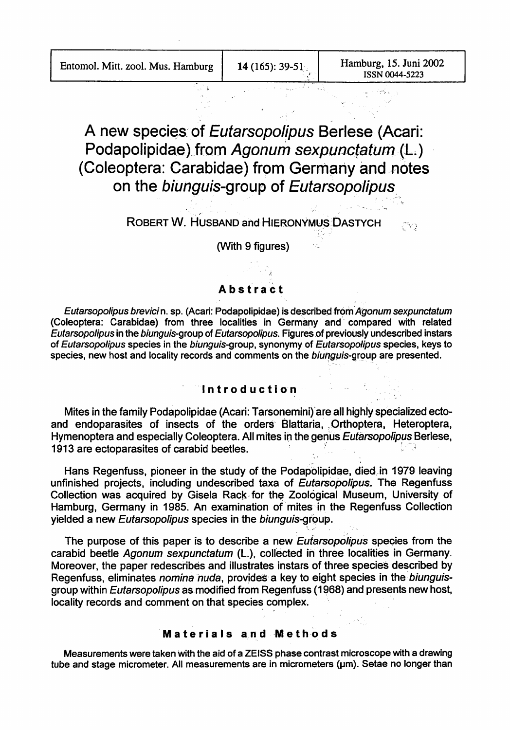CV)

# A new species of Eutarsopolipus Berlese (Acari: Podapolipidae).from Agonum sexpunctatum (L.). (Coleoptera: Carabidae) from Germany and notes on the biunguis-group of Eutarsopolipus.

ROBERT W. HUSBAND and HIERONYMUS DASTYCH

(With 9 figures)

# **Abstract**

Eutarsopolipus brevicin. sp. (Acari: Podapolipidae) is described from Agonum sexpunctatum (Coleoptera: Carabidae) from three localities in Germany and'. compared with related Eutarsopolipus in the biunguis-group of Eutarsopolipus. Figures of previously undescribed instars of Eutarsopolipus species in the biunguis-group, synonymy of Eutarsopolipus species, keys to species, new host and locality records and comments on the biunguis-group are presented.

#### 'Introd'uction

Mites in the family Podapolipidae (Acari: Tarsonemini)'are all highly specialized ectoand endoparasites of insects of the orders Blattaria, Orthoptera, Heteroptera, Hymenoptera and especially Coleoptera. All mites in the genus Eutarsopolipus Berlese, 1913 are ectoparasites of carabid beetles.

Hans Regenfuss, pioneer in the study of the Podapolipidae, died in 1979 leaving unfinished projects, including undescribed taxa of Eutarsopolipus. The Regenfuss Collection was acquired by Gisela Rack for the Zoological Museum, University of Hamburg, Germany in 1985. An examination of mites in the Regenfuss Collection yielded a new Eutarsopolipus species in the biunguis-group.

The purpose of this paper is to describe a new *Eutarsopolipus* species from the carabid beetle Agonum sexpunctatum (L.), collected in three localities in Germany. Moreover, the paper redescribes and illustrates instars of three species described by Regenfuss, eliminates nomina nuda, provides a key to eight species in the biunguisgroup within *Eutarsopolipus* as modified from Regenfuss (1968) and presents new host, locality records and comment on that species complex.

#### **Materials and Methods**

Measurements were taken with the aid of a ZEISS phase contrast microscope with'a drawing tube and stage micrometer. All measurements are in micrometers (um). Setae no longer than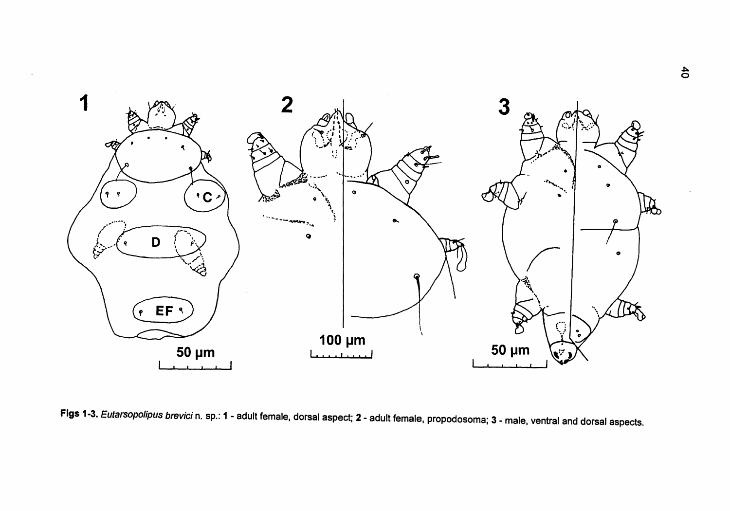

Figs 1-3. Eutarsopolipus brevici n. sp.: 1 - adult female, dorsal aspect; 2 - adult female, propodosoma; 3 - male, ventral and dorsal aspects.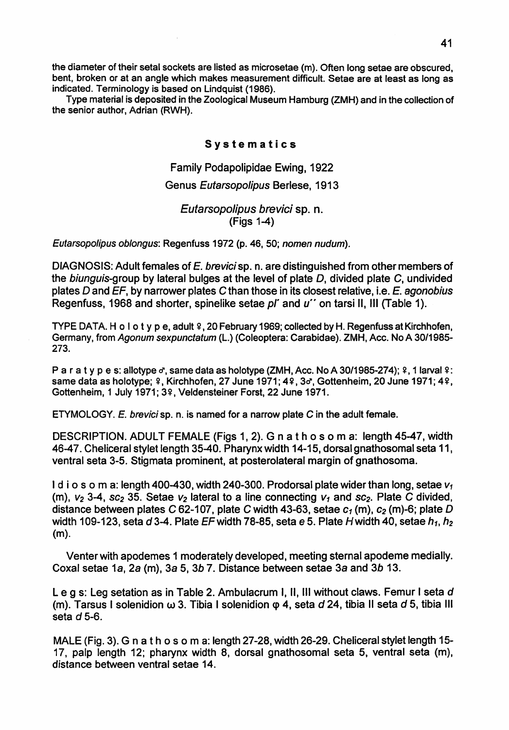the diameter of their setal sockets are listed as microsetae (m). Often long setae are obscured, bent, broken or at an angle which makes measurement difficult. Setae are at least as long as indicated. Terminology is based on Lindquist (1986).

Type material is deposited in the Zoological Museum Hamburg (ZMH) and in the collection of the senior author, Adrian (RWH).

## **Systematics**

Family Podapolipidae Ewing, 1922

## Genus Eutarsopolipus Berlese, 1913

Eutarsopolipus brevici sp. n. (Figs 1-4)

Eutarsopolipus oblongus: Regenfuss 1972 (p. 46, 50; nomen nudum).

DIAGNOSIS: Adult females of E. brevici sp. n. are distinguished from other members of the biunguis-group by lateral bulges at the level of plate  $D$ , divided plate  $C$ , undivided plates D and  $EF$ , by narrower plates C than those in its closest relative, i.e.  $E$ . agonobius Regenfuss, 1968 and shorter, spinelike setae *pl'* and *u''* on tarsi II, III (Table 1).

TYPE DATA. H o l o t y p e, adult  $\frac{2}{3}$ , 20 February 1969; collected by H. Regenfuss at Kirchhofen, Germany, from Agonum sexpunctatum (L.) (Coleoptera: Carabidae). ZMH, Ace. No A 30/1985- 273.

P a r a t y p e s: allotype  $\sigma$ , same data as holotype (ZMH, Acc. No A 30/1985-274);  $\Omega$ , 1 larval  $\Omega$ : same data as holotype;  $9$ , Kirchhofen, 27 June 1971; 49, 3d, Gottenheim, 20 June 1971; 49, Gottenheim, 1 July 1971; 3º, Veldensteiner Forst, 22 June 1971.

ETYMOLOGY. E. brevici sp. n. is named for a narrow plate C in the adult female.

DESCRIPTION. ADULT FEMALE (Figs 1, 2). G n a t h 0 s 0 m a: length 45-47, width 46-47. Cheliceral stylet length 35-40. Pharynx width 14-15, dorsal gnathosomal seta 11, ventral seta 3-5. Stigmata prominent, at posterolateral margin of gnathosoma.

I d i o s o m a: length 400-430, width 240-300. Prodorsal plate wider than long, setae  $v_1$ (m),  $v_2$  3-4, sc<sub>2</sub> 35. Setae  $v_2$  lateral to a line connecting  $v_1$  and sc<sub>2</sub>. Plate C divided, distance between plates C 62-107, plate C width 43-63, setae  $c_1$  (m),  $c_2$  (m)-6; plate D width 109-123, seta *d3-4.* Plate EFwidth 78-85, seta e 5. Plate Hwidth 40, setae *h 1, h2* (m).

Venter with apodemes 1 moderately developed, meeting sternal apodeme medially. Coxal setae 1a, 2a (m), 3a 5, 3b 7. Distance between setae 3a and 3b 13.

Leg s: Leg setation as in Table 2. Ambulacrum I, 11, III without claws. Femur I seta *d* (m). Tarsus I solenidion  $\omega$  3. Tibia I solenidion  $\varphi$  4, seta  $d$  24, tibia II seta  $d$  5, tibia III seta d 5-6.

MALE (Fig. 3). G n at h <sup>0</sup> s <sup>0</sup> m a: length 27-28, width 26-29. Cheliceral stylet length 15- 17, palp length 12; pharynx width 8, dorsal gnathosomal seta 5, ventral seta (m), distance between ventral setae 14.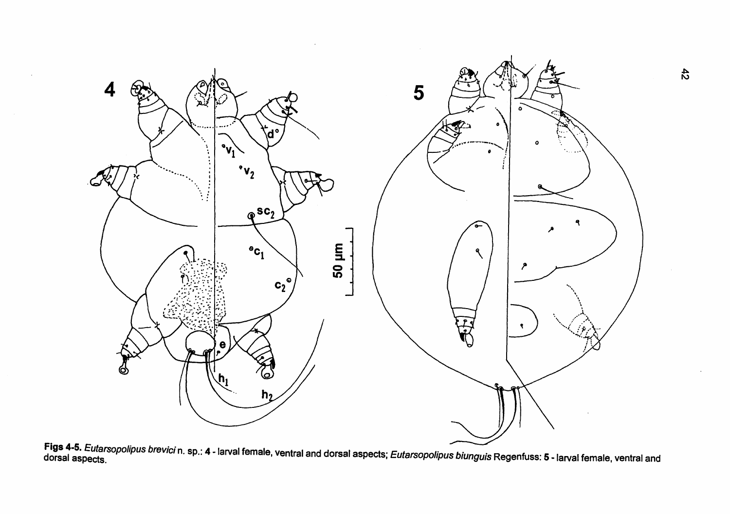

Figs 4-5. *Eutarsopolipus brevici* n. sp.: 4 - larval female, ventral and dorsal aspects; *Eutarsopolipus biunguis* Regenfuss: 5 - larval female, ventral and<br>dorsal aspects.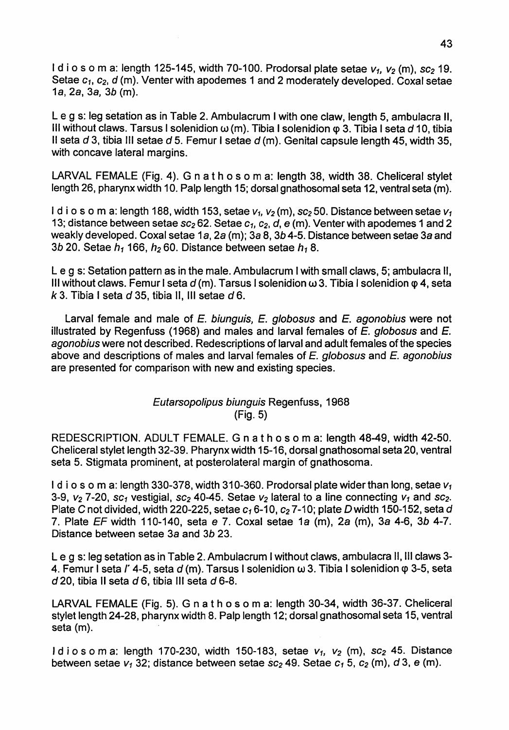I d i o s o m a: length 125-145, width 70-100. Prodorsal plate setae  $v_1$ ,  $v_2$  (m),  $sc_2$  19. Setae C1, C2, *d* (m). Venter with apodemes 1 and 2 moderately developed. Coxal setae 1a, 2a, 3a, *3b* (m).

Le q s: leg setation as in Table 2. Ambulacrum I with one claw, length 5, ambulacra II, III without claws. Tarsus I solenidion  $\omega$  (m). Tibia I solenidion  $\varphi$  3. Tibia I seta  $d$  10, tibia II seta  $d$  3, tibia III setae  $d$  5. Femur I setae  $d$  (m). Genital capsule length 45, width 35, with concave lateral margins.

LARVAL FEMALE (Fig. 4). G n at h <sup>0</sup> s <sup>0</sup> m a: length 38, width 38. Cheliceral stylet length 26, pharynx width 10. Palp length 15; dorsal gnathosomal seta 12, ventral seta (m).

I d i o s o m a: length 188, width 153, setae  $v_1$ ,  $v_2$  (m), sc<sub>2</sub> 50. Distance between setae  $v_1$ 13; distance between setae  $sc_2 62$ . Setae  $c_1$ ,  $c_2$ , d, e (m). Venter with apodemes 1 and 2 weakly developed. Coxal setae 1a, 2a (m); 3a 8, 3b 4-5. Distance between setae 3a and 3b 20. Setae  $h_1$  166,  $h_2$  60. Distance between setae  $h_1$  8.

Leg s: Setation pattern as in the male. Ambulacrum I with small claws, 5; ambulacra 11, III without claws. Femur I seta  $d$  (m). Tarsus I solenidion  $\omega$  3. Tibia I solenidion  $\varphi$  4, seta k 3. Tibia I seta d 35, tibia II, III setae d 6.

Larval female and male of E. biunguis, E. globosus and E. agonobius were not illustrated by Regenfuss (1968) and males and larval females of  $E$ , globosus and  $E$ . agonobius were not described. Redescriptions of larval and adult females ofthe species above and descriptions of males and larval females of  $E$ . globosus and  $E$ . agonobius are presented for comparison with new and existing species.

# Eutarsopolipus biunguis Regenfuss, 1968 (Fig. 5)

REDESCRIPTION. ADULT FEMALE. G n a t h o s o m a: length 48-49, width 42-50. Cheliceral stylet length 32-39. Pharynx width 15-16, dorsal gnathosomal seta 20, ventral seta 5. Stigmata prominent, at posterolateral margin of gnathosoma.

I d i o s o m a: length 330-378, width 310-360. Prodorsal plate wider than long, setae  $v_1$ 3-9,  $v_2$  7-20, sc<sub>1</sub> vestigial, sc<sub>2</sub> 40-45. Setae  $v_2$  lateral to a line connecting  $v_1$  and sc<sub>2</sub>. Plate C not divided, width 220-225, setae  $c_1$  6-10,  $c_2$  7-10; plate D width 150-152, seta d 7. Plate  $EF$  width 110-140, seta e 7. Coxal setae 1a (m), 2a (m), 3a 4-6, 3b 4-7. Distance between setae 3a and 3b 23.

Leg s: leg setation as in Table 2. Ambulacrum I without claws, ambulacra 11, III claws 3- 4. Femur I seta  *4-5, seta*  $*d*$  *(m). Tarsus I solenidion*  $\omega$  *3. Tibia I solenidion*  $\varphi$  *3-5, seta*  $d$  20, tibia II seta  $d$  6, tibia III seta  $d$  6-8.

LARVAL FEMALE (Fig. 5). G n a t h 0 s 0 m a: length 30-34, width 36-37. Cheliceral stylet length 24-28, pharynx width 8. Palp length 12; dorsal gnathosomal seta 15, ventral seta (m).

I d i o s o m a: length 170-230, width 150-183, setae  $v_1$ ,  $v_2$  (m),  $sc_2$  45. Distance between setae  $v_1$  32; distance between setae  $sc_2$  49. Setae  $c_1$  5,  $c_2$  (m), d 3, e (m).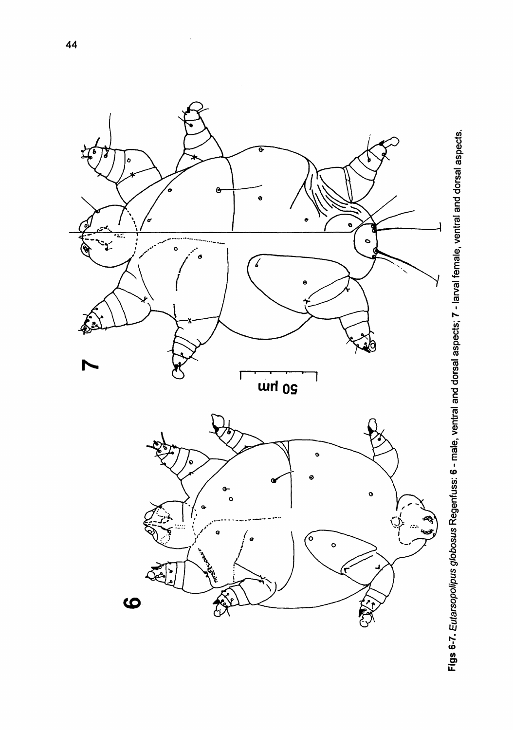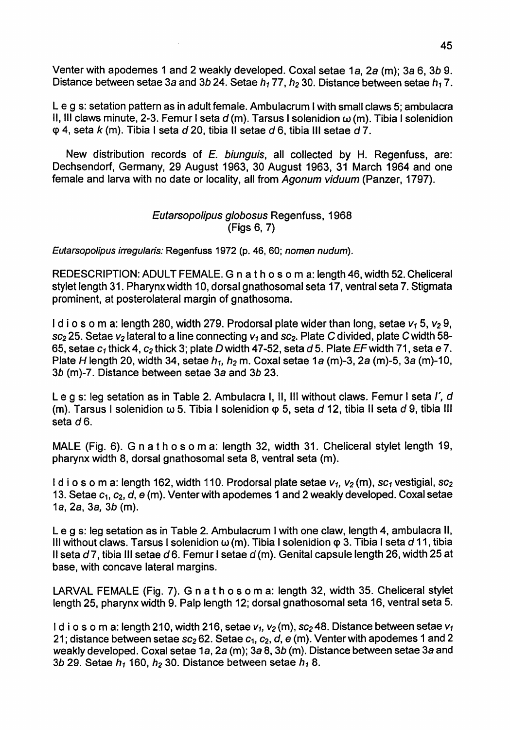Venter with apodemes 1 and 2 weakly developed. Coxal setae 1a, 2a (m); 3a 6, *3b 9.* Distance between setae 3a and 3b 24. Setae  $h_1$  77,  $h_2$  30. Distance between setae  $h_1$  7.

Leg s: setation pattern as in adult female. Ambulacrum I with small claws 5; ambulacra 11, III claws minute, 2-3. Femur I seta  $d$  (m). Tarsus I solenidion  $\omega$  (m). Tibia I solenidion q> 4, seta *k* (m). Tibia I seta *d* 20, tibia II setae *d* 6, tibia III setae d 7.

New distribution records of E. biunguis, all collected by H. Regenfuss, are: Dechsendorf, Germany, 29 August 1963, 30 August 1963, 31 March 1964 and one female and larva with no date or locality, all from Agonum viduum (Panzer, 1797).

## Eutarsopolipus globosus Regenfuss, 1968 (Figs 6,7)

Eutarsopolipus irregularis: Regenfuss 1972 (p. 46, 60; nomen nudum).

REDESCRIPTION: ADULT FEMALE. G n a t h 0 s 0 m a: length 46, width 52. Cheliceral stylet length 31. Pharynx width 10, dorsal gnathosomal seta 17, ventral seta 7. Stigmata prominent, at posterolateral margin of gnathosoma.

I d i o s o m a: length 280, width 279. Prodorsal plate wider than long, setae  $v_1$  5,  $v_2$  9,  $sc_2$  25. Setae  $v_2$  lateral to a line connecting  $v_1$  and  $sc_2$ . Plate C divided, plate C width 58-65, setae  $c_1$  thick 4,  $c_2$  thick 3; plate D width 47-52, seta d 5. Plate EF width 71, seta e 7. Plate H length 20, width 34, setae  $h_1$ ,  $h_2$  m. Coxal setae 1a (m)-3, 2a (m)-5, 3a (m)-10, *3b* (m)-7. Distance between setae 3a and 3b 23.

Leg s: leg setation as in Table 2. Ambulacra I, 11, III without claws. Femur I seta *r,* d (m). Tarsus I solenidion  $\omega$  5. Tibia I solenidion  $\varphi$  5, seta d 12, tibia II seta d 9, tibia III seta d6.

MALE (Fig. 6). G n at h <sup>0</sup> s <sup>0</sup> m a: length 32, width 31. Cheliceral stylet length 19, pharynx width 8, dorsal gnathosomal seta 8, ventral seta (m).

I d i o s o m a: length 162, width 110. Prodorsal plate setae  $v_1$ ,  $v_2$  (m),  $sc_1$  vestigial,  $sc_2$ 13. Setae  $c_1$ ,  $c_2$ ,  $d$ ,  $e$  (m). Venter with apodemes 1 and 2 weakly developed. Coxal setae 1a, 2a, 3a, *3b* (m).

Leg s: leg setation as in Table 2. Ambulacrum I with one claw, length 4, ambulacra 11, III without claws. Tarsus I solenidion w(m). Tibia I solenidion cp 3. Tibia I seta *d* 11, tibia II seta d 7, tibia III setae d 6. Femur I setae d (m). Genital capsule length 26, width 25 at base, with concave lateral margins.

LARVAL FEMALE (Fig. 7). G n a t h 0 s 0 m a: length 32, width 35. Cheliceral stylet length 25, pharynx width 9. Palp length 12; dorsal gnathosomal seta 16, ventral seta 5.

Id i o s o m a: length 210, width 216, setae  $v_1$ ,  $v_2$  (m), sc<sub>2</sub>48. Distance between setae  $v_1$ 21; distance between setae  $sc_2 62$ . Setae  $c_1$ ,  $c_2$ ,  $d$ ,  $e$  (m). Venter with apodemes 1 and 2 weakly developed. Coxal setae 1a, 2a (m); 3a 8, 3b (m). Distance between setae 3a and 3b 29. Setae  $h_1$  160,  $h_2$  30. Distance between setae  $h_1$  8.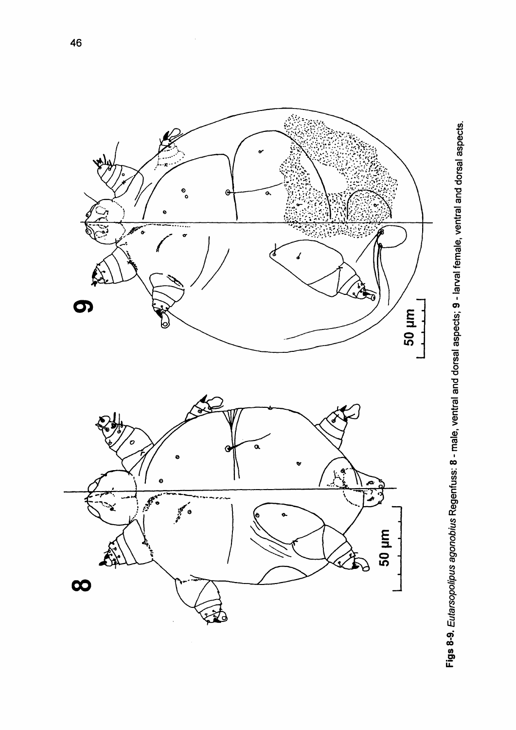

Figs 8-9. Eutarsopolipus agonobius Regenfuss: 8 - male, ventral and dorsal aspects; 9 - larval female, ventral and dorsal aspects.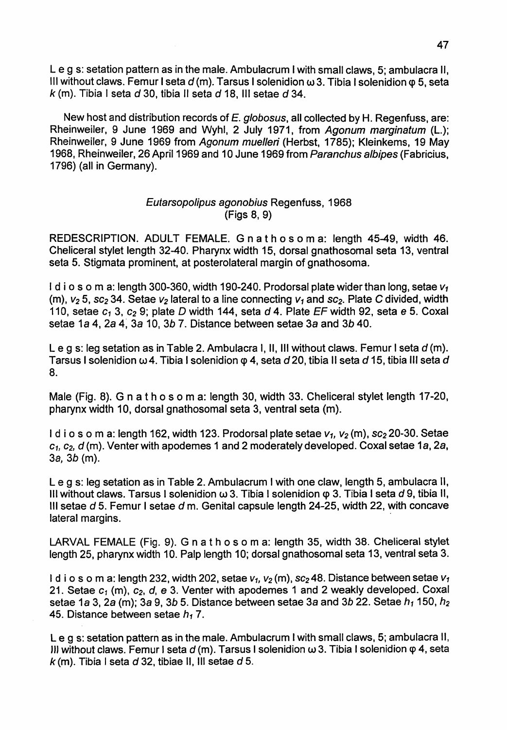Leg s: setation pattern as in the male. Ambulacrum I with small claws, 5; ambulacra 11, III without claws. Femur I seta *d* (m). Tarsus I solenidion w3. Tibia I solenidion q> 5, seta *k* (m). Tibia I seta *d* 30, tibia <sup>11</sup> seta *d* 18, III setae *d 34.*

New host and distribution records of E. globosus, all collected by H. Regenfuss, are: Rheinweiler, 9 June 1969 and Wyhl, 2 July 1971, from Agonum marginatum (L.); Rheinweiler, 9 June 1969 from Agonum muelleri (Herbst, 1785); Kleinkems, 19 May 1968, Rheinweiler, 26 April 1969 and 10 June 1969 from Paranchus albipes (Fabricius, 1796) (all in Germany).

## Eutarsopolipus agonobius Regenfuss, 1968 (Figs 8,9)

REDESCRIPTION. ADULT FEMALE. G n a t h 0 s 0 m a: length 45-49, width 46. Cheliceral stylet length 32-40. Pharynx width 15, dorsal gnathosomal seta 13, ventral seta 5. Stigmata prominent, at posterolateral margin of gnathosoma.

I d i o s o m a: length 300-360, width 190-240. Prodorsal plate wider than long, setae  $v_1$ (m),  $v_2$  5, sc<sub>2</sub> 34. Setae  $v_2$  lateral to a line connecting  $v_1$  and sc<sub>2</sub>. Plate C divided, width 110, setae  $c_1$  3,  $c_2$  9; plate D width 144, seta d 4. Plate EF width 92, seta e 5. Coxal setae 1a 4, 2a 4~ 3a 10, *3b* 7. Distance between setae 3a and *3b 40.*

Leg s: leg setation as in Table 2. Ambulacra I, 11, III without claws. Femur I seta *d* (m). Tarsus I solenidion w 4. Tibia I solenidion q> 4, seta *d* 20, tibia <sup>11</sup> seta *d* 15, tibia III seta *d* 8.

Male (Fig. 8). G n a t h 0 s 0 m a: length 30, width 33. Cheliceral stylet length 17-20, pharynx width 10, dorsal gnathosomal seta 3, ventral seta (m).

I d i o s o m a: length 162, width 123. Prodorsal plate setae  $v_1$ ,  $v_2$  (m), sc<sub>2</sub> 20-30. Setae  $c_1$ ,  $c_2$ ,  $d$  (m). Venter with apodemes 1 and 2 moderately developed. Coxal setae 1a, 2a, 38, *3b* (m).

Leg s: leg setation as in Table 2. Ambulacrum I with one claw, length 5, ambulacra 11, III without claws. Tarsus I solenidion w 3. Tibia I solenidion q> 3. Tibia I seta *d* 9, tibia 11, III setae  $d$  5. Femur I setae  $d$  m. Genital capsule length 24-25, width 22, with concave lateral margins. .

LARVAL FEMALE (Fig. 9). G n a t h 0 s 0 m a: length 35, width 38. Cheliceral stylet length 25, pharynx width 10. Palp length 10; dorsal gnathosomal seta 13, ventral seta 3.

I d i o s o m a: length 232, width 202, setae  $v_1$ ,  $v_2$  (m), sc<sub>2</sub>48. Distance between setae  $v_1$ 21. Setae  $c_1$  (m),  $c_2$ ,  $d$ ,  $e$  3. Venter with apodemes 1 and 2 weakly developed. Coxal setae 1a 3, 2a (m); 3a 9, *3b* 5. Distance between setae 3a and *3b* 22. Setae *h1* 150, *h2* 45. Distance between setae  $h_1$  7.

Leg s: setation pattern as in the male. Ambulacrum I with small claws, 5; ambulacra 11, JJJ without claws. Femur I seta *d* (m). Tarsus I solenidion w 3. Tibia I solenidion q> 4, seta  $k$  (m). Tibia I seta d 32, tibiae II, III setae d 5.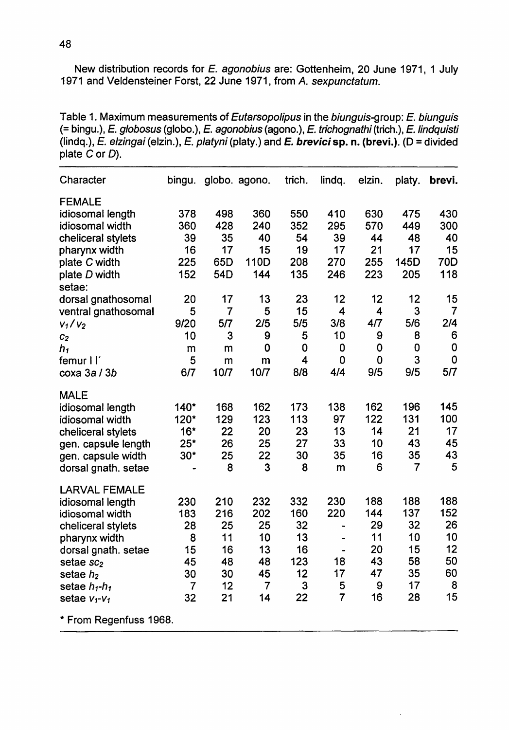New distribution records for E. agonobius are: Gottenheim, 20 June 1971, 1 July 1971 and Veldensteiner Forst, 22 June 1971, from A. sexpunctatum.

Table 1. Maximum measurements of Eutarsopolipus in the biunguis-group: E. biunguis (= bingu.), E. globosus (globo.), E. agonobius (agono.), E. trichognathi (trich.), E. lindquisti (Iindq.), E. elzingai (elzin.), E. platyni (platy.) and E. brevicisp. n. (brevi.). (0 = divided plate C or D).

| Character                            | bingu.         |      | globo. agono. | trich. | lindq.         | elzin.      | platy. | brevi. |
|--------------------------------------|----------------|------|---------------|--------|----------------|-------------|--------|--------|
| <b>FEMALE</b>                        |                |      |               |        |                |             |        |        |
| idiosomal length                     | 378            | 498  | 360           | 550    | 410            | 630         | 475    | 430    |
| idiosomal width                      | 360            | 428  | 240           | 352    | 295            | 570         | 449    | 300    |
| cheliceral stylets                   | 39             | 35   | 40            | 54     | 39             | 44          | 48     | 40     |
| pharynx width                        | 16             | 17   | 15            | 19     | 17             | 21          | 17     | 15     |
| plate C width                        | 225            | 65D  | 110D          | 208    | 270            | 255         | 145D   | 70D    |
| plate D width                        | 152            | 54D  | 144           | 135    | 246            | 223         | 205    | 118    |
| setae:                               |                |      |               |        |                |             |        |        |
| dorsal gnathosomal                   | 20             | 17   | 13            | 23     | 12             | 12          | 12     | 15     |
| ventral gnathosomal                  | 5              | 7    | 5             | 15     | 4              | 4           | 3      | 7      |
| $V_1/V_2$                            | 9/20           | 5/7  | 2/5           | 5/5    | 3/8            | 4/7         | 5/6    | 2/4    |
| C <sub>2</sub>                       | 10             | 3    | 9             | 5      | 10             | 9           | 8      | 6      |
| h,                                   | m              | m    | 0             | 0      | 0              | 0           | 0      | 0      |
| femur I l'                           | 5              | m    | m             | 4      | 0              | $\mathbf 0$ | 3      | 0      |
| coxa 3a / 3b                         | 6/7            | 10/7 | 10/7          | 8/8    | 4/4            | 9/5         | 9/5    | 5/7    |
| <b>MALE</b>                          |                |      |               |        |                |             |        |        |
| idiosomal length                     | 140*           | 168  | 162           | 173    | 138            | 162         | 196    | 145    |
| idiosomal width                      | 120*           | 129  | 123           | 113    | 97             | 122         | 131    | 100    |
| cheliceral stylets                   | $16*$          | 22   | 20            | 23     | 13             | 14          | 21     | 17     |
| gen. capsule length                  | $25*$          | 26   | 25            | 27     | 33             | 10          | 43     | 45     |
| gen. capsule width                   | $30*$          | 25   | 22            | 30     | 35             | 16          | 35     | 43     |
| dorsal gnath. setae                  |                | 8    | 3             | 8      | m              | 6           | 7      | 5      |
| <b>LARVAL FEMALE</b>                 |                |      |               |        |                |             |        |        |
| idiosomal length                     | 230            | 210  | 232           | 332    | 230            | 188         | 188    | 188    |
| idiosomal width                      | 183            | 216  | 202           | 160    | 220            | 144         | 137    | 152    |
| cheliceral stylets                   | 28             | 25   | 25            | 32     | $\blacksquare$ | 29          | 32     | 26     |
| pharynx width                        | 8              | 11   | 10            | 13     |                | 11          | 10     | 10     |
| dorsal gnath. setae                  | 15             | 16   | 13            | 16     |                | 20          | 15     | 12     |
| setae sc <sub>2</sub>                | 45             | 48   | 48            | 123    | 18             | 43          | 58     | 50     |
| setae $h2$                           | 30             | 30   | 45            | 12     | 17             | 47          | 35     | 60     |
| setae h <sub>1</sub> -h <sub>1</sub> | $\overline{7}$ | 12   | 7             | 3      | 5              | 9           | 17     | 8      |
| setae $v_1$ - $v_1$                  | 32             | 21   | 14            | 22     | 7              | 16          | 28     | 15     |
| * From Regenfuss 1968.               |                |      |               |        |                |             |        |        |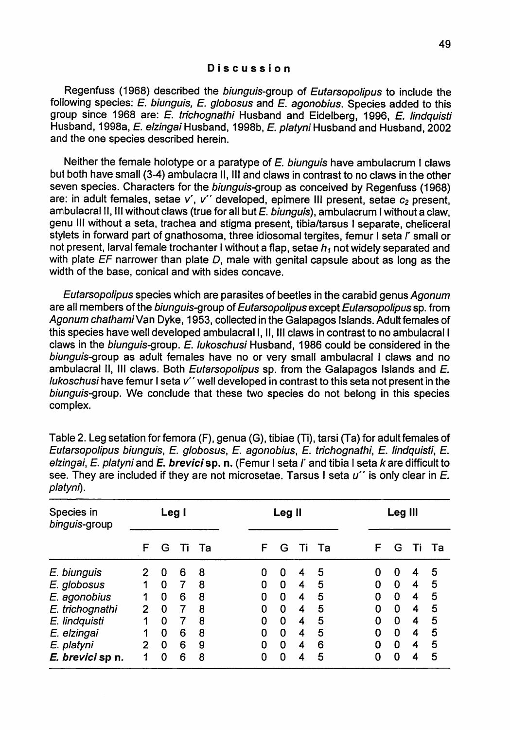Regenfuss (1968) described the *biunguis-group of Eutarsopolipus* to include the following species: E. biunguis, E. globosus and E. agonobius. Species added to this group since 1968 are: E. trichognathi Husband and Eidelberg, 1996, E. Iindquisti Husband, 1998a, E. elzingai Husband, 1998b, E. platyni Husband and Husband, 2002 and the one species described herein.

Neither the female holotype or a paratype of E. biunguis have ambulacrum I claws but both have small (3-4) ambulacra 11, III and claws in contrast to no claws in the other seven species. Characters for the biunguis-group as conceived by Regenfuss (1968) are: in adult females, setae *v', v"* developed, epimere III present, setae *C2* present, ambulacral II, III without claws (true for all but E. biunguis), ambulacrum I without a claw, genu III without a seta, trachea and stigma present, tibia/tarsus I separate, cheliceral stylets in forward part of gnathosoma, three idiosomal tergites, femur <sup>I</sup> seta *r* small or not present, larval female trochanter I without a flap, setae  $h_1$  not widely separated and with plate  $EF$  narrower than plate D, male with genital capsule about as long as the width of the base, conical and with sides concave.

Eutarsopolipus species which are parasites of beetles in the carabid genus Agonum are all members of the biunguis-group of Eutarsopolipus except Eutarsopolipus sp. from Agonum chathami Van Dyke, 1953, collected in the Galapagos Islands. Adult females of this species have well developed ambulacrall, 11, III claws in contrast to no ambulacrall claws in the biunguis-group. E. lukoschusi Husband, 1986 could be considered in the biunguis-group as adult females have no or very small ambulacral I claws and no ambulacral II, III claws. Both *Eutarsopolipus* sp. from the Galapagos Islands and E.  $ll$ ukoschusi have femur I seta  $v^{\prime\prime}$  well developed in contrast to this seta not present in the biunguis-group. We conclude that these two species do not belong in this species complex.

| see. They are included if they are not microsetae. Tarsus I seta <i>u</i><br>is only clear in E.<br>platyni). |                |          |   |       |        |   |   |   |       |         |   |   |    |    |
|---------------------------------------------------------------------------------------------------------------|----------------|----------|---|-------|--------|---|---|---|-------|---------|---|---|----|----|
| Species in<br>binguis-group                                                                                   | Leg I          |          |   |       | Leg II |   |   |   |       | Leg III |   |   |    |    |
|                                                                                                               | F              | G        |   | Ti Ta |        | F | G |   | Ti Ta |         | F | G | Τì | Та |
| E. biunguis                                                                                                   |                | 0        | 6 | 8     |        | 0 | 0 | 4 | 5     |         | 0 | 0 | 4  | 5  |
| E. globosus                                                                                                   |                | 0        | 7 | 8     |        | 0 | 0 | 4 | 5     |         | 0 | 0 | 4  | 5  |
| E. agonobius                                                                                                  | 1              | 0        | 6 | 8     |        | 0 | 0 | 4 | 5     |         | 0 | 0 | 4  | 5  |
| E. trichognathi                                                                                               | $\overline{2}$ | 0        | 7 | 8     |        | 0 | 0 | 4 | 5     |         | 0 | 0 | 4  | 5  |
| E. lindquisti                                                                                                 | 1              | 0        | 7 | 8     |        | 0 | 0 | 4 | 5     |         | 0 | 0 | 4  | 5  |
| E. elzingai                                                                                                   |                | 0        | 6 | 8     |        | 0 | 0 | 4 | 5     |         | 0 | 0 | 4  | 5  |
| E. platyni                                                                                                    | $\overline{2}$ | $\Omega$ | 6 | 9     |        | 0 | 0 | 4 | 6     |         | 0 | 0 | 4  | 5  |

**E. brevici sp n.** 1 0 6 8 0 0 0 4 5 0 0 0 4 5

Table 2. Leg setation for femora (F), genua (G), tibiae (Ti), tarsi (Ta) for adult females of Eutarsopolipus biunguis, E. globosus, E. agonobius, E. trichognathi, E. Iindquisti, E. elzingai, E. platyni and E. brevici sp. n. (Femur I seta *l'* and tibia I seta k are difficult to see. They are included if they are not microsetae. Tarsus I seta  $u^{\prime\prime}$  is only clear in E.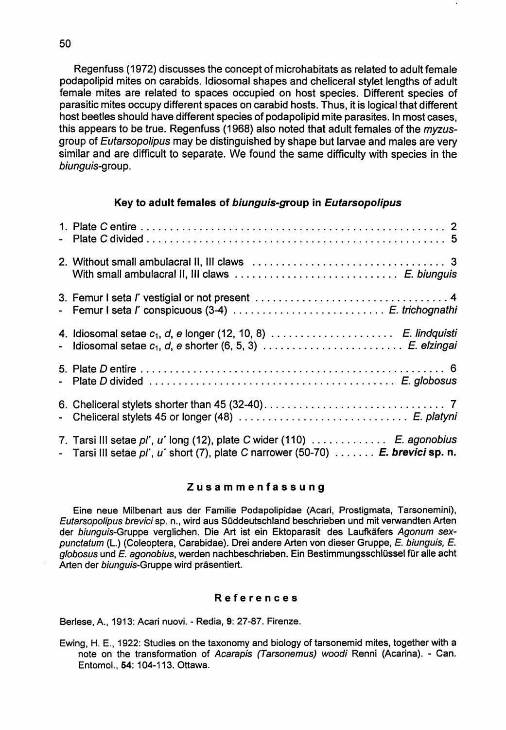Regenfuss (1972) discusses the concept of microhabitats as related to adult female podapolipid mites on carabids. Idiosomal shapes and cheliceral stylet lengths of adult female mites are related to spaces occupied on host species. Different species of parasitic mites occupy different spaces on carabid hosts. Thus, it is logical that different host beetles should have different species of podapolipid mite parasites. In most cases, this appears to be true. Regenfuss (1968) also noted that adult females of the *myzus*group of Eutarsopolipus may be distinguished by shape but larvae and males are very similar and are difficult to separate. We found the same difficulty with species in the biunguis-group.

#### Key to adult females of biunguis-group in Eutarsopolipus

| - Femur I seta l' conspicuous (3-4)  E. trichognathi                                                                                                                         |
|------------------------------------------------------------------------------------------------------------------------------------------------------------------------------|
| 4. Idiosomal setae $c_1$ , $d$ , e longer (12, 10, 8) $\ldots \ldots \ldots \ldots \ldots$ $E$ . lindquisti                                                                  |
|                                                                                                                                                                              |
|                                                                                                                                                                              |
| 7. Tarsi III setae pl', u' long (12), plate C wider (110)  E. agonobius<br>- Tarsi III setae $p'$ , u' short (7), plate C narrower (50-70) $\dots \dots$ . E. brevici sp. n. |

## Zusammenfassung

Eine neue Milbenart aus der Familie Podapolipidae (Acari, Prostigmata, Tarsonemini), Eutarsopolipus brevici sp. n., wird aus Süddeutschland beschrieben und mit verwandten Arten der biunguis-Gruppe verglichen. Die Art ist ein Ektoparasit des Laufkäfers Agonum sexpunctatum (L.) (Coleoptera, Carabidae). Drei andere Arten von dieser Gruppe, E. biunguis, E.  $a$ lobosus und  $E$ , agonobius, werden nachbeschrieben. Ein Bestimmungsschlüssel für alle acht Arten der biunguis-Gruppe wird präsentiert.

#### References

Berlese, A., 1913: Acari nuovi. - Redia, 9: 27-87. Firenze.

Ewing, H. E., 1922: Studies on the taxonomy and biology of tarsonemid mites, together with a note on the transformation of Acarapis (Tarsonemus) woodi Renni (Acarina). - Can. Entomol., 54: 104-113. Ottawa.